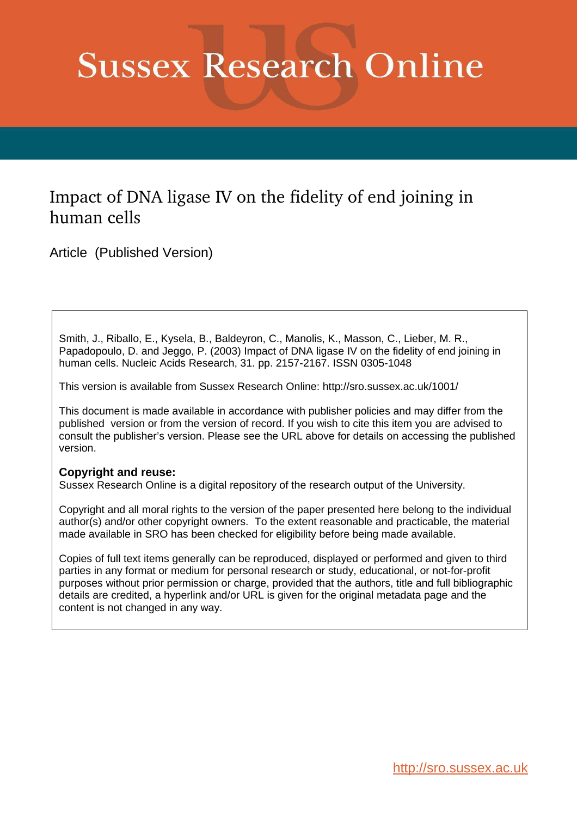# **Sussex Research Online**

## Impact of DNA ligase IV on the fidelity of end joining in human cells

Article (Published Version)

Smith, J., Riballo, E., Kysela, B., Baldeyron, C., Manolis, K., Masson, C., Lieber, M. R., Papadopoulo, D. and Jeggo, P. (2003) Impact of DNA ligase IV on the fidelity of end joining in human cells. Nucleic Acids Research, 31. pp. 2157-2167. ISSN 0305-1048

This version is available from Sussex Research Online: http://sro.sussex.ac.uk/1001/

This document is made available in accordance with publisher policies and may differ from the published version or from the version of record. If you wish to cite this item you are advised to consult the publisher's version. Please see the URL above for details on accessing the published version.

### **Copyright and reuse:**

Sussex Research Online is a digital repository of the research output of the University.

Copyright and all moral rights to the version of the paper presented here belong to the individual author(s) and/or other copyright owners. To the extent reasonable and practicable, the material made available in SRO has been checked for eligibility before being made available.

Copies of full text items generally can be reproduced, displayed or performed and given to third parties in any format or medium for personal research or study, educational, or not-for-profit purposes without prior permission or charge, provided that the authors, title and full bibliographic details are credited, a hyperlink and/or URL is given for the original metadata page and the content is not changed in any way.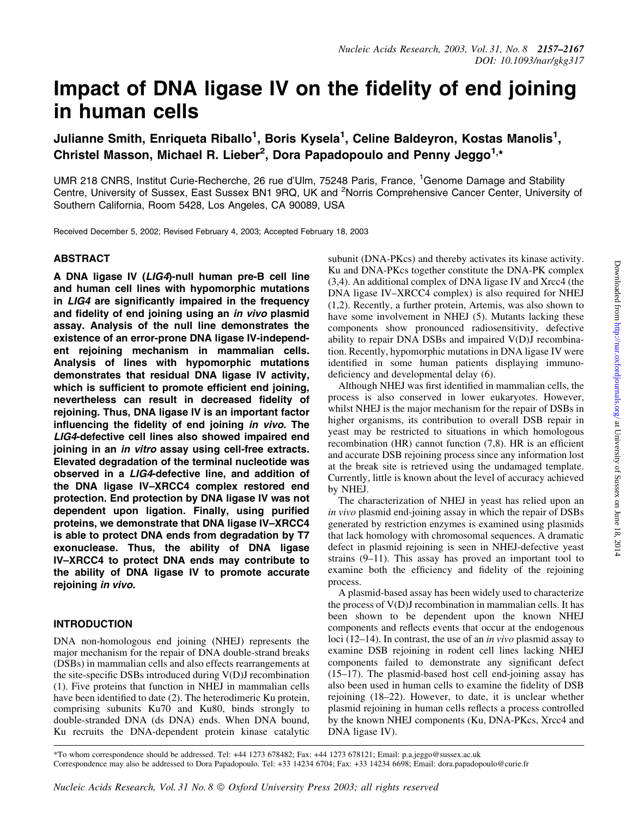## Impact of DNA ligase IV on the fidelity of end joining in human cells

Julianne Smith, Enriqueta Riballo<sup>1</sup>, Boris Kysela<sup>1</sup>, Celine Baldeyron, Kostas Manolis<sup>1</sup>, Christel Masson, Michael R. Lieber<sup>2</sup>, Dora Papadopoulo and Penny Jeggo<sup>1,\*</sup>

UMR 218 CNRS, Institut Curie-Recherche, 26 rue d'Ulm, 75248 Paris, France, <sup>1</sup>Genome Damage and Stability Centre, University of Sussex, East Sussex BN1 9RQ, UK and <sup>2</sup>Norris Comprehensive Cancer Center, University of Southern California, Room 5428, Los Angeles, CA 90089, USA

Received December 5, 2002; Revised February 4, 2003; Accepted February 18, 2003

#### ABSTRACT

A DNA ligase IV (LIG4)-null human pre-B cell line and human cell lines with hypomorphic mutations in  $LIG4$  are significantly impaired in the frequency and fidelity of end joining using an in vivo plasmid assay. Analysis of the null line demonstrates the existence of an error-prone DNA ligase IV-independent rejoining mechanism in mammalian cells. Analysis of lines with hypomorphic mutations demonstrates that residual DNA ligase IV activity, which is sufficient to promote efficient end joining, nevertheless can result in decreased fidelity of rejoining. Thus, DNA ligase IV is an important factor influencing the fidelity of end joining in vivo. The LIG4-defective cell lines also showed impaired end joining in an *in vitro* assay using cell-free extracts. Elevated degradation of the terminal nucleotide was observed in a LIG4-defective line, and addition of the DNA ligase IV-XRCC4 complex restored end protection. End protection by DNA ligase IV was not dependent upon ligation. Finally, using purified proteins, we demonstrate that DNA ligase IV-XRCC4 is able to protect DNA ends from degradation by T7 exonuclease. Thus, the ability of DNA ligase IV-XRCC4 to protect DNA ends may contribute to the ability of DNA ligase IV to promote accurate rejoining in vivo.

#### INTRODUCTION

DNA non-homologous end joining (NHEJ) represents the major mechanism for the repair of DNA double-strand breaks (DSBs) in mammalian cells and also effects rearrangements at the site-specific DSBs introduced during  $V(D)J$  recombination (1). Five proteins that function in NHEJ in mammalian cells have been identified to date (2). The heterodimeric Ku protein, comprising subunits Ku70 and Ku80, binds strongly to double-stranded DNA (ds DNA) ends. When DNA bound, Ku recruits the DNA-dependent protein kinase catalytic

subunit (DNA-PKcs) and thereby activates its kinase activity. Ku and DNA-PKcs together constitute the DNA-PK complex (3,4). An additional complex of DNA ligase IV and Xrcc4 (the DNA ligase IV-XRCC4 complex) is also required for NHEJ (1,2). Recently, a further protein, Artemis, was also shown to have some involvement in NHEJ (5). Mutants lacking these components show pronounced radiosensitivity, defective ability to repair DNA DSBs and impaired V(D)J recombination. Recently, hypomorphic mutations in DNA ligase IV were identified in some human patients displaying immunodeficiency and developmental delay (6).

Although NHEJ was first identified in mammalian cells, the process is also conserved in lower eukaryotes. However, whilst NHEJ is the major mechanism for the repair of DSBs in higher organisms, its contribution to overall DSB repair in yeast may be restricted to situations in which homologous recombination (HR) cannot function  $(7,8)$ . HR is an efficient and accurate DSB rejoining process since any information lost at the break site is retrieved using the undamaged template. Currently, little is known about the level of accuracy achieved by NHEJ.

The characterization of NHEJ in yeast has relied upon an in vivo plasmid end-joining assay in which the repair of DSBs generated by restriction enzymes is examined using plasmids that lack homology with chromosomal sequences. A dramatic defect in plasmid rejoining is seen in NHEJ-defective yeast strains  $(9-11)$ . This assay has proved an important tool to examine both the efficiency and fidelity of the rejoining process.

A plasmid-based assay has been widely used to characterize the process of V(D)J recombination in mammalian cells. It has been shown to be dependent upon the known NHEJ components and reflects events that occur at the endogenous loci (12 $-14$ ). In contrast, the use of an *in vivo* plasmid assay to examine DSB rejoining in rodent cell lines lacking NHEJ components failed to demonstrate any significant defect  $(15-17)$ . The plasmid-based host cell end-joining assay has also been used in human cells to examine the fidelity of DSB rejoining (18-22). However, to date, it is unclear whether plasmid rejoining in human cells reflects a process controlled by the known NHEJ components (Ku, DNA-PKcs, Xrcc4 and DNA ligase IV).

\*To whom correspondence should be addressed. Tel: +44 1273 678482; Fax: +44 1273 678121; Email: p.a.jeggo@sussex.ac.uk Correspondence may also be addressed to Dora Papadopoulo. Tel: +33 14234 6704; Fax: +33 14234 6698; Email: dora.papadopoulo@curie.fr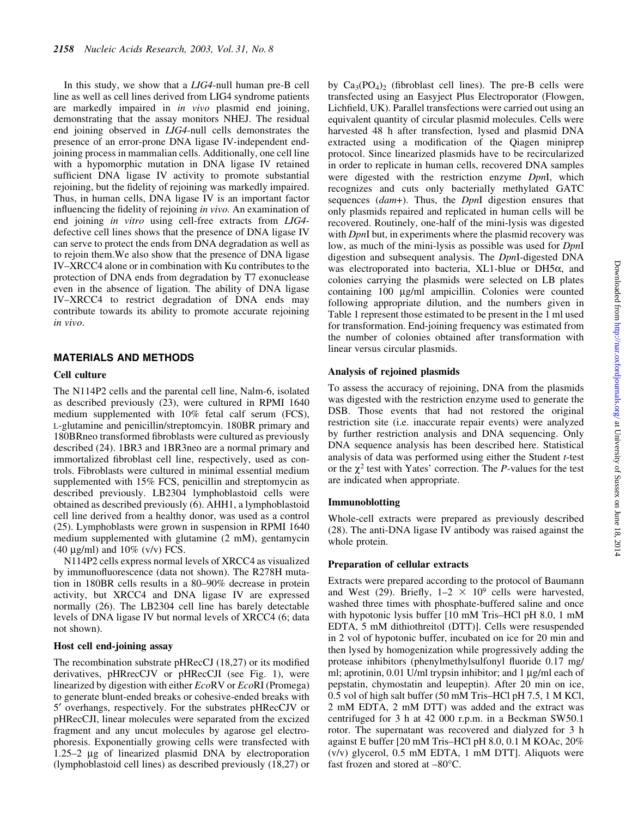In this study, we show that a LIG4-null human pre-B cell line as well as cell lines derived from LIG4 syndrome patients are markedly impaired in in vivo plasmid end joining, demonstrating that the assay monitors NHEJ. The residual end joining observed in LIG4-null cells demonstrates the presence of an error-prone DNA ligase IV-independent endjoining process in mammalian cells. Additionally, one cell line with a hypomorphic mutation in DNA ligase IV retained sufficient DNA ligase IV activity to promote substantial rejoining, but the fidelity of rejoining was markedly impaired. Thus, in human cells, DNA ligase IV is an important factor influencing the fidelity of rejoining in vivo. An examination of end joining *in vitro* using cell-free extracts from *LIG4*defective cell lines shows that the presence of DNA ligase IV can serve to protect the ends from DNA degradation as well as to rejoin them.We also show that the presence of DNA ligase IV-XRCC4 alone or in combination with Ku contributes to the protection of DNA ends from degradation by T7 exonuclease even in the absence of ligation. The ability of DNA ligase IV-XRCC4 to restrict degradation of DNA ends may contribute towards its ability to promote accurate rejoining in vivo.

#### MATERIALS AND METHODS

#### Cell culture

The N114P2 cells and the parental cell line, Nalm-6, isolated as described previously (23), were cultured in RPMI 1640 medium supplemented with 10% fetal calf serum (FCS), L-glutamine and penicillin/streptomcyin. 180BR primary and 180BRneo transformed fibroblasts were cultured as previously described (24). 1BR3 and 1BR3neo are a normal primary and immortalized fibroblast cell line, respectively, used as controls. Fibroblasts were cultured in minimal essential medium supplemented with 15% FCS, penicillin and streptomycin as described previously. LB2304 lymphoblastoid cells were obtained as described previously (6). AHH1, a lymphoblastoid cell line derived from a healthy donor, was used as a control (25). Lymphoblasts were grown in suspension in RPMI 1640 medium supplemented with glutamine (2 mM), gentamycin (40  $\mu$ g/ml) and 10% (v/v) FCS.

N114P2 cells express normal levels of XRCC4 as visualized by immunofluorescence (data not shown). The R278H mutation in 180BR cells results in a 80-90% decrease in protein activity, but XRCC4 and DNA ligase IV are expressed normally (26). The LB2304 cell line has barely detectable levels of DNA ligase IV but normal levels of XRCC4 (6; data not shown).

#### Host cell end-joining assay

The recombination substrate pHRecCJ  $(18,27)$  or its modified derivatives, pHRrecCJV or pHRecCJI (see Fig. 1), were linearized by digestion with either EcoRV or EcoRI (Promega) to generate blunt-ended breaks or cohesive-ended breaks with 5¢ overhangs, respectively. For the substrates pHRecCJV or pHRecCJI, linear molecules were separated from the excized fragment and any uncut molecules by agarose gel electrophoresis. Exponentially growing cells were transfected with 1.25 $-2 \mu$ g of linearized plasmid DNA by electroporation (lymphoblastoid cell lines) as described previously (18,27) or

by  $Ca<sub>3</sub>(PO<sub>4</sub>)<sub>2</sub>$  (fibroblast cell lines). The pre-B cells were transfected using an Easyject Plus Electroporator (Flowgen, Lichfield, UK). Parallel transfections were carried out using an equivalent quantity of circular plasmid molecules. Cells were harvested 48 h after transfection, lysed and plasmid DNA extracted using a modification of the Qiagen miniprep protocol. Since linearized plasmids have to be recircularized in order to replicate in human cells, recovered DNA samples were digested with the restriction enzyme DpnI, which recognizes and cuts only bacterially methylated GATC sequences (*dam*+). Thus, the *DpnI* digestion ensures that only plasmids repaired and replicated in human cells will be recovered. Routinely, one-half of the mini-lysis was digested with *DpnI* but, in experiments where the plasmid recovery was low, as much of the mini-lysis as possible was used for DpnI digestion and subsequent analysis. The DpnI-digested DNA was electroporated into bacteria,  $XL1$ -blue or  $DH5\alpha$ , and colonies carrying the plasmids were selected on LB plates containing 100 mg/ml ampicillin. Colonies were counted following appropriate dilution, and the numbers given in Table 1 represent those estimated to be present in the 1 ml used for transformation. End-joining frequency was estimated from the number of colonies obtained after transformation with linear versus circular plasmids.

#### Analysis of rejoined plasmids

To assess the accuracy of rejoining, DNA from the plasmids was digested with the restriction enzyme used to generate the DSB. Those events that had not restored the original restriction site (i.e. inaccurate repair events) were analyzed by further restriction analysis and DNA sequencing. Only DNA sequence analysis has been described here. Statistical analysis of data was performed using either the Student t-test or the  $\chi^2$  test with Yates' correction. The *P*-values for the test are indicated when appropriate.

#### Immunoblotting

Whole-cell extracts were prepared as previously described (28). The anti-DNA ligase IV antibody was raised against the whole protein.

#### Preparation of cellular extracts

Extracts were prepared according to the protocol of Baumann and West (29). Briefly,  $1-2 \times 10^9$  cells were harvested, washed three times with phosphate-buffered saline and once with hypotonic lysis buffer  $[10 \text{ mM Tris-HCl pH } 8.0, 1 \text{ mM}$ EDTA, 5 mM dithiothreitol (DTT)]. Cells were resuspended in 2 vol of hypotonic buffer, incubated on ice for 20 min and then lysed by homogenization while progressively adding the protease inhibitors (phenylmethylsulfonyl fluoride 0.17 mg/ ml; aprotinin,  $0.01$  U/ml trypsin inhibitor; and 1  $\mu$ g/ml each of pepstatin, chymostatin and leupeptin). After 20 min on ice, 0.5 vol of high salt buffer  $(50 \text{ mM Tris-HCl pH } 7.5, 1 \text{ M KCl}$ , 2 mM EDTA, 2 mM DTT) was added and the extract was centrifuged for 3 h at 42 000 r.p.m. in a Beckman SW50.1 rotor. The supernatant was recovered and dialyzed for 3 h against E buffer [20 mM Tris-HCl pH 8.0, 0.1 M KOAc, 20% (v/v) glycerol, 0.5 mM EDTA, 1 mM DTT]. Aliquots were fast frozen and stored at  $-80^{\circ}$ C.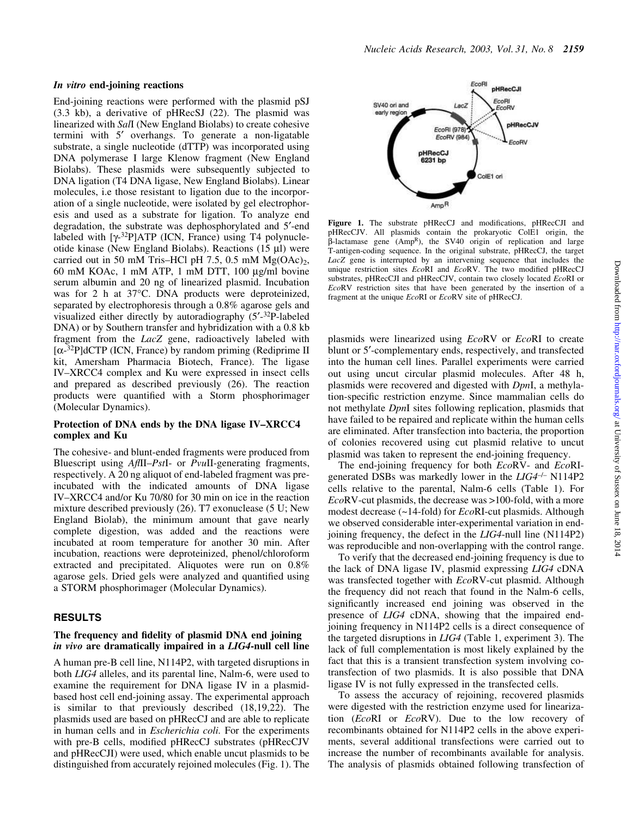#### In vitro end-joining reactions

End-joining reactions were performed with the plasmid pSJ (3.3 kb), a derivative of pHRecSJ (22). The plasmid was linearized with SalI (New England Biolabs) to create cohesive termini with 5' overhangs. To generate a non-ligatable substrate, a single nucleotide (dTTP) was incorporated using DNA polymerase I large Klenow fragment (New England Biolabs). These plasmids were subsequently subjected to DNA ligation (T4 DNA ligase, New England Biolabs). Linear molecules, i.e those resistant to ligation due to the incorporation of a single nucleotide, were isolated by gel electrophoresis and used as a substrate for ligation. To analyze end degradation, the substrate was dephosphorylated and 5'-end labeled with  $[\gamma^{32}P]ATP$  (ICN, France) using T4 polynucleotide kinase (New England Biolabs). Reactions  $(15 \mu l)$  were carried out in 50 mM Tris-HCl pH 7.5, 0.5 mM  $Mg(OAc)_2$ , 60 mM KOAc,  $1 \text{ mM ATP}$ ,  $1 \text{ mM DTT}$ ,  $100 \text{ µg/ml bovine}$ serum albumin and 20 ng of linearized plasmid. Incubation was for 2 h at 37°C. DNA products were deproteinized, separated by electrophoresis through a 0.8% agarose gels and visualized either directly by autoradiography  $(5'$ - $32P$ -labeled DNA) or by Southern transfer and hybridization with a 0.8 kb fragment from the LacZ gene, radioactively labeled with  $[\alpha$ -<sup>32</sup>P]dCTP (ICN, France) by random priming (Rediprime II kit, Amersham Pharmacia Biotech, France). The ligase IV-XRCC4 complex and Ku were expressed in insect cells and prepared as described previously (26). The reaction products were quantified with a Storm phosphorimager (Molecular Dynamics).

#### Protection of DNA ends by the DNA ligase IV-XRCC4 complex and Ku

The cohesive- and blunt-ended fragments were produced from Bluescript using  $A$ *fIII-PstI-* or *PvuII-generating fragments*, respectively. A 20 ng aliquot of end-labeled fragment was preincubated with the indicated amounts of DNA ligase IV-XRCC4 and/or Ku 70/80 for 30 min on ice in the reaction mixture described previously (26). T7 exonuclease (5 U; New England Biolab), the minimum amount that gave nearly complete digestion, was added and the reactions were incubated at room temperature for another 30 min. After incubation, reactions were deproteinized, phenol/chloroform extracted and precipitated. Aliquotes were run on 0.8% agarose gels. Dried gels were analyzed and quantified using a STORM phosphorimager (Molecular Dynamics).

#### RESULTS

#### The frequency and fidelity of plasmid DNA end joining in vivo are dramatically impaired in a LIG4-null cell line

A human pre-B cell line, N114P2, with targeted disruptions in both LIG4 alleles, and its parental line, Nalm-6, were used to examine the requirement for DNA ligase IV in a plasmidbased host cell end-joining assay. The experimental approach is similar to that previously described (18,19,22). The plasmids used are based on pHRecCJ and are able to replicate in human cells and in *Escherichia coli*. For the experiments with pre-B cells, modified pHRecCJ substrates (pHRecCJV and pHRecCJI) were used, which enable uncut plasmids to be distinguished from accurately rejoined molecules (Fig. 1). The



Figure 1. The substrate pHRecCJ and modifications, pHRecCJI and pHRecCJV. All plasmids contain the prokaryotic ColE1 origin, the  $\beta$ -lactamase gene (AmpR), the SV40 origin of replication and large T-antigen-coding sequence. In the original substrate, pHRecCJ, the target LacZ gene is interrupted by an intervening sequence that includes the unique restriction sites  $EcoRI$  and  $EcoRV$ . The two modified pHRecCJ substrates, pHRecCJI and pHRecCJV, contain two closely located EcoRI or EcoRV restriction sites that have been generated by the insertion of a fragment at the unique EcoRI or EcoRV site of pHRecCJ.

plasmids were linearized using EcoRV or EcoRI to create blunt or 5<sup>'</sup>-complementary ends, respectively, and transfected into the human cell lines. Parallel experiments were carried out using uncut circular plasmid molecules. After 48 h, plasmids were recovered and digested with DpnI, a methylation-specific restriction enzyme. Since mammalian cells do not methylate DpnI sites following replication, plasmids that have failed to be repaired and replicate within the human cells are eliminated. After transfection into bacteria, the proportion of colonies recovered using cut plasmid relative to uncut plasmid was taken to represent the end-joining frequency.

The end-joining frequency for both EcoRV- and EcoRIgenerated DSBs was markedly lower in the  $LIG4^{-/-}$  N114P2 cells relative to the parental, Nalm-6 cells (Table 1). For  $EcoRV$ -cut plasmids, the decrease was  $>100$ -fold, with a more modest decrease (~14-fold) for EcoRI-cut plasmids. Although we observed considerable inter-experimental variation in endjoining frequency, the defect in the LIG4-null line (N114P2) was reproducible and non-overlapping with the control range.

To verify that the decreased end-joining frequency is due to the lack of DNA ligase IV, plasmid expressing LIG4 cDNA was transfected together with EcoRV-cut plasmid. Although the frequency did not reach that found in the Nalm-6 cells, significantly increased end joining was observed in the presence of LIG4 cDNA, showing that the impaired endjoining frequency in N114P2 cells is a direct consequence of the targeted disruptions in LIG4 (Table 1, experiment 3). The lack of full complementation is most likely explained by the fact that this is a transient transfection system involving cotransfection of two plasmids. It is also possible that DNA ligase IV is not fully expressed in the transfected cells.

To assess the accuracy of rejoining, recovered plasmids were digested with the restriction enzyme used for linearization (EcoRI or EcoRV). Due to the low recovery of recombinants obtained for N114P2 cells in the above experiments, several additional transfections were carried out to increase the number of recombinants available for analysis. The analysis of plasmids obtained following transfection of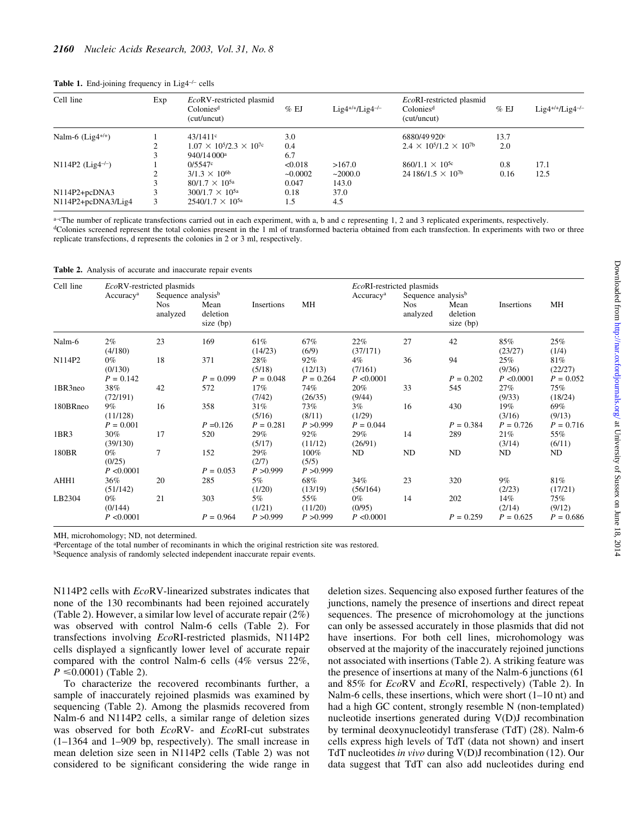| Cell line                       | Exp | EcoRV-restricted plasmid<br>Colonies <sup>d</sup><br>(cut/uncut) | $%$ EJ    | $Lig4^{+/+}/Lig4^{-/-}$ | EcoRI-restricted plasmid<br>Colonies <sup>d</sup><br>(cut/uncut) | $%$ EJ | $Lig4^{+/+}/Lig4^{-/-}$ |
|---------------------------------|-----|------------------------------------------------------------------|-----------|-------------------------|------------------------------------------------------------------|--------|-------------------------|
| Nalm-6 $(Lig4^{+/+})$           |     | $43/1411$ <sup>c</sup>                                           | 3.0       |                         | 6880/49920°                                                      | 13.7   |                         |
|                                 |     | $1.07 \times 10^5 / 2.3 \times 10^{7c}$                          | 0.4       |                         | $2.4 \times 10^5/1.2 \times 10^{7}$                              | 2.0    |                         |
|                                 |     | 940/14 000 <sup>a</sup>                                          | 6.7       |                         |                                                                  |        |                         |
| $N114P2$ (Lig4 <sup>-/-</sup> ) |     | 0/5547c                                                          | < 0.018   | >167.0                  | $860/1.1 \times 10^{5c}$                                         | 0.8    | 17.1                    |
|                                 |     | $3/1.3 \times 10^{6b}$                                           | $-0.0002$ | ~2000.0                 | $24186/1.5 \times 10^{7b}$                                       | 0.16   | 12.5                    |
|                                 |     | $80/1.7 \times 10^{5a}$                                          | 0.047     | 143.0                   |                                                                  |        |                         |
| $N114P2+pcDNA3$                 |     | $300/1.7 \times 10^{5a}$                                         | 0.18      | 37.0                    |                                                                  |        |                         |
| N114P2+pcDNA3/Lig4              | 3   | $2540/1.7 \times 10^{5a}$                                        | 1.5       | 4.5                     |                                                                  |        |                         |

Table 1. End-joining frequency in Lig4<sup>-/-</sup> cells

 $a$ -cThe number of replicate transfections carried out in each experiment, with a, b and c representing 1, 2 and 3 replicated experiments, respectively. <sup>d</sup>Colonies screened represent the total colonies present in the 1 ml of transformed bacteria obtained from each transfection. In experiments with two or three replicate transfections, d represents the colonies in 2 or 3 ml, respectively.

| Table 2. Analysis of accurate and inaccurate repair events |  |  |  |  |  |  |
|------------------------------------------------------------|--|--|--|--|--|--|
|------------------------------------------------------------|--|--|--|--|--|--|

| Cell line | EcoRV-restricted plasmids       |                                |                                 |                              |                               |                             | EcoRI-restricted plasmids      |                               |                             |                               |
|-----------|---------------------------------|--------------------------------|---------------------------------|------------------------------|-------------------------------|-----------------------------|--------------------------------|-------------------------------|-----------------------------|-------------------------------|
|           | Accuracy <sup>a</sup>           | Sequence analysis <sup>b</sup> |                                 |                              |                               | Accuracy <sup>a</sup>       | Sequence analysis <sup>b</sup> |                               |                             |                               |
|           |                                 | <b>Nos</b><br>analyzed         | Mean<br>deletion<br>size $(bp)$ | Insertions                   | MH                            |                             | <b>Nos</b><br>analyzed         | Mean<br>deletion<br>size (bp) | Insertions                  | МH                            |
| Nalm-6    | $2\%$<br>(4/180)                | 23                             | 169                             | 61%<br>(14/23)               | 67%<br>(6/9)                  | 22%<br>(37/171)             | 27                             | 42                            | 85%<br>(23/27)              | 25%<br>(1/4)                  |
| N114P2    | $0\%$<br>(0/130)<br>$P = 0.142$ | 18                             | 371<br>$P = 0.099$              | 28%<br>(5/18)<br>$P = 0.048$ | 92%<br>(12/13)<br>$P = 0.264$ | 4%<br>(7/161)<br>P < 0.0001 | 36                             | 94<br>$P = 0.202$             | 25%<br>(9/36)<br>P < 0.0001 | 81%<br>(22/27)<br>$P = 0.052$ |
| 1BR3neo   | 38%<br>(72/191)                 | 42                             | 572                             | 17%<br>(7/42)                | 74%<br>(26/35)                | 20%<br>(9/44)               | 33                             | 545                           | 27%<br>(9/33)               | 75%<br>(18/24)                |
| 180BRneo  | $9\%$<br>(11/128)               | 16                             | 358                             | 31%<br>(5/16)                | 73%<br>(8/11)                 | 3%<br>(1/29)                | 16                             | 430                           | 19%<br>(3/16)               | 69%<br>(9/13)                 |
|           | $P = 0.001$                     |                                | $P = 0.126$                     | $P = 0.281$                  | P > 0.999                     | $P = 0.044$                 |                                | $P = 0.384$                   | $P = 0.726$                 | $P = 0.716$                   |
| 1BR3      | 30%<br>(39/130)                 | 17                             | 520                             | 29%<br>(5/17)                | 92%<br>(11/12)                | 29%<br>(26/91)              | 14                             | 289                           | 21%<br>(3/14)               | 55%<br>(6/11)                 |
| 180BR     | $0\%$<br>(0/25)<br>P < 0.0001   | 7                              | 152<br>$P = 0.053$              | 29%<br>(2/7)<br>P > 0.999    | 100%<br>(5/5)<br>P > 0.999    | ND                          | ND                             | ND                            | ND                          | ND                            |
| AHH1      | 36%<br>(51/142)                 | 20                             | 285                             | 5%<br>(1/20)                 | 68%<br>(13/19)                | 34%<br>(56/164)             | 23                             | 320                           | $9\%$<br>(2/23)             | 81%<br>(17/21)                |
| LB2304    | $0\%$<br>(0/144)                | 21                             | 303                             | 5%<br>(1/21)                 | 55%<br>(11/20)                | $0\%$<br>(0/95)             | 14                             | 202                           | 14%<br>(2/14)               | 75%<br>(9/12)                 |
|           | P < 0.0001                      |                                | $P = 0.964$                     | P > 0.999                    | P > 0.999                     | P < 0.0001                  |                                | $P = 0.259$                   | $P = 0.625$                 | $P = 0.686$                   |

MH, microhomology; ND, not determined.

<sup>a</sup>Percentage of the total number of recominants in which the original restriction site was restored.

<sup>b</sup>Sequence analysis of randomly selected independent inaccurate repair events.

N114P2 cells with EcoRV-linearized substrates indicates that none of the 130 recombinants had been rejoined accurately (Table 2). However, a similar low level of accurate repair (2%) was observed with control Nalm-6 cells (Table 2). For transfections involving EcoRI-restricted plasmids, N114P2 cells displayed a signficantly lower level of accurate repair compared with the control Nalm-6 cells (4% versus 22%,  $P \le 0.0001$  (Table 2).

To characterize the recovered recombinants further, a sample of inaccurately rejoined plasmids was examined by sequencing (Table 2). Among the plasmids recovered from Nalm-6 and N114P2 cells, a similar range of deletion sizes was observed for both EcoRV- and EcoRI-cut substrates  $(1-1364$  and  $1-909$  bp, respectively). The small increase in mean deletion size seen in N114P2 cells (Table 2) was not considered to be significant considering the wide range in

deletion sizes. Sequencing also exposed further features of the junctions, namely the presence of insertions and direct repeat sequences. The presence of microhomology at the junctions can only be assessed accurately in those plasmids that did not have insertions. For both cell lines, microhomology was observed at the majority of the inaccurately rejoined junctions not associated with insertions (Table 2). A striking feature was the presence of insertions at many of the Nalm-6 junctions (61 and 85% for EcoRV and EcoRI, respectively) (Table 2). In Nalm-6 cells, these insertions, which were short  $(1-10$  nt) and had a high GC content, strongly resemble N (non-templated) nucleotide insertions generated during V(D)J recombination by terminal deoxynucleotidyl transferase (TdT) (28). Nalm-6 cells express high levels of TdT (data not shown) and insert TdT nucleotides in vivo during V(D)J recombination (12). Our data suggest that TdT can also add nucleotides during end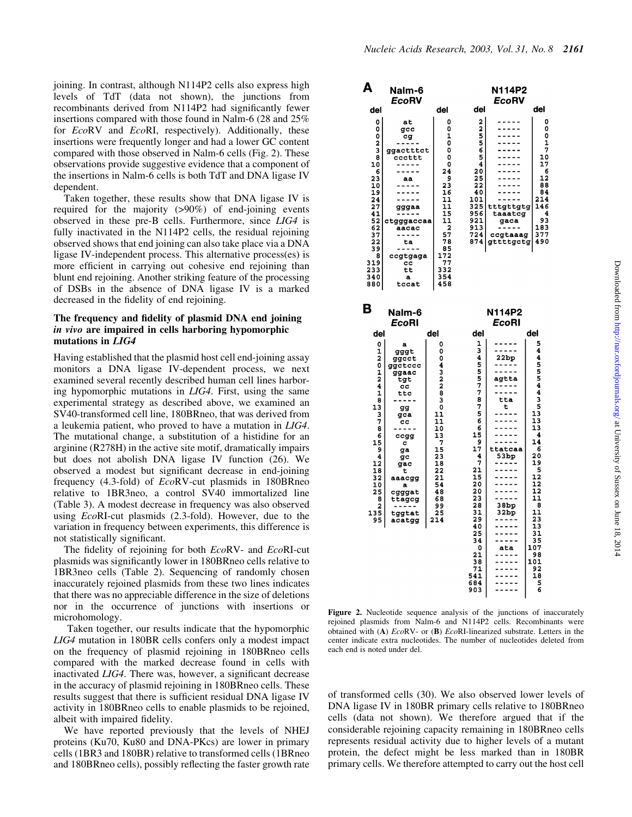joining. In contrast, although N114P2 cells also express high levels of TdT (data not shown), the junctions from recombinants derived from N114P2 had significantly fewer insertions compared with those found in Nalm-6 (28 and 25% for *EcoRV* and *EcoRI*, respectively). Additionally, these insertions were frequently longer and had a lower GC content compared with those observed in Nalm-6 cells (Fig. 2). These observations provide suggestive evidence that a component of the insertions in Nalm-6 cells is both TdT and DNA ligase IV dependent.

Taken together, these results show that DNA ligase IV is required for the majority (>90%) of end-joining events observed in these pre-B cells. Furthermore, since LIG4 is fully inactivated in the N114P2 cells, the residual rejoining observed shows that end joining can also take place via a DNA ligase IV-independent process. This alternative process(es) is more efficient in carrying out cohesive end rejoining than blunt end rejoining. Another striking feature of the processing of DSBs in the absence of DNA ligase IV is a marked decreased in the fidelity of end rejoining.

#### The frequency and fidelity of plasmid DNA end joining in vivo are impaired in cells harboring hypomorphic mutations in LIG4

Having established that the plasmid host cell end-joining assay monitors a DNA ligase IV-dependent process, we next examined several recently described human cell lines harboring hypomorphic mutations in LIG4. First, using the same experimental strategy as described above, we examined an SV40-transformed cell line, 180BRneo, that was derived from a leukemia patient, who proved to have a mutation in LIG4. The mutational change, a substitution of a histidine for an arginine (R278H) in the active site motif, dramatically impairs but does not abolish DNA ligase IV function (26). We observed a modest but significant decrease in end-joining frequency (4.3-fold) of EcoRV-cut plasmids in 180BRneo relative to 1BR3neo, a control SV40 immortalized line (Table 3). A modest decrease in frequency was also observed using EcoRI-cut plasmids (2.3-fold). However, due to the variation in frequency between experiments, this difference is not statistically significant.

The fidelity of rejoining for both  $EcoRV-$  and  $EcoRI-cut$ plasmids was significantly lower in 180BRneo cells relative to 1BR3neo cells (Table 2). Sequencing of randomly chosen inaccurately rejoined plasmids from these two lines indicates that there was no appreciable difference in the size of deletions nor in the occurrence of junctions with insertions or microhomology.

Taken together, our results indicate that the hypomorphic LIG4 mutation in 180BR cells confers only a modest impact on the frequency of plasmid rejoining in 180BRneo cells compared with the marked decrease found in cells with inactivated LIG4. There was, however, a significant decrease in the accuracy of plasmid rejoining in 180BRneo cells. These results suggest that there is sufficient residual DNA ligase IV activity in 180BRneo cells to enable plasmids to be rejoined, albeit with impaired fidelity.

We have reported previously that the levels of NHEJ proteins (Ku70, Ku80 and DNA-PKcs) are lower in primary cells (1BR3 and 180BR) relative to transformed cells (1BRneo and 180BRneo cells), possibly reflecting the faster growth rate



Figure 2. Nucleotide sequence analysis of the junctions of inaccurately rejoined plasmids from Nalm-6 and N114P2 cells. Recombinants were obtained with (A) EcoRV- or (B) EcoRI-linearized substrate. Letters in the center indicate extra nucleotides. The number of nucleotides deleted from each end is noted under del.

of transformed cells (30). We also observed lower levels of DNA ligase IV in 180BR primary cells relative to 180BRneo cells (data not shown). We therefore argued that if the considerable rejoining capacity remaining in 180BRneo cells represents residual activity due to higher levels of a mutant protein, the defect might be less marked than in 180BR primary cells. We therefore attempted to carry out the host cell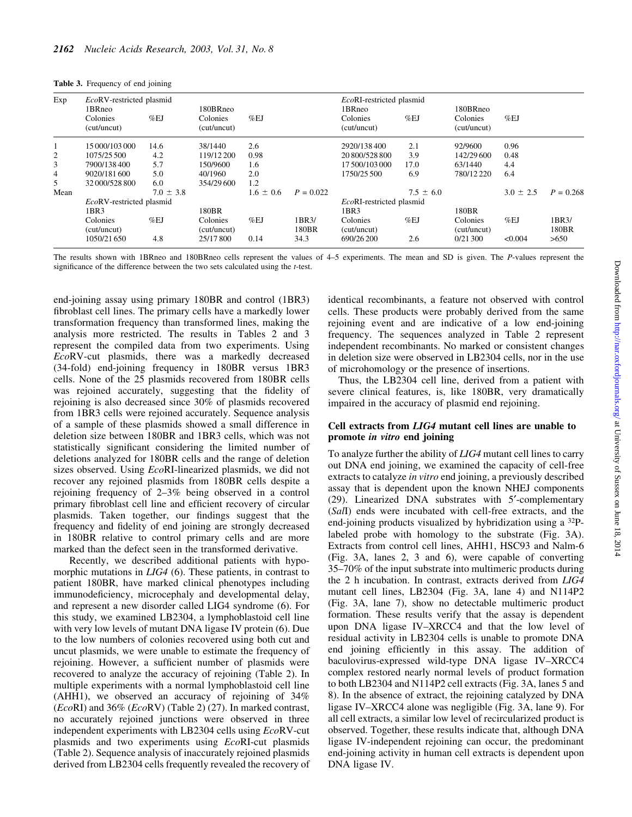| Table 3. Frequency of end joining |  |  |
|-----------------------------------|--|--|
|-----------------------------------|--|--|

| Exp            | EcoRV-restricted plasmid<br>1BRneo<br>Colonies<br>(cut/uncut) | %EJ           | 180BRneo<br>Colonies<br>(cut/uncut) | %EJ           |                | EcoRI-restricted plasmid<br>1BRneo<br>Colonies<br>(cut/uncut) | %EJ           | 180BRneo<br><b>Colonies</b><br>(cut/uncut) | %EJ           |                |
|----------------|---------------------------------------------------------------|---------------|-------------------------------------|---------------|----------------|---------------------------------------------------------------|---------------|--------------------------------------------|---------------|----------------|
|                | 15 000/103 000                                                | 14.6          | 38/1440                             | 2.6           |                | 2920/138400                                                   | 2.1           | 92/9600                                    | 0.96          |                |
| 2              | 1075/25 500                                                   | 4.2           | 119/12 200                          | 0.98          |                | 20 800/528 800                                                | 3.9           | 142/29 600                                 | 0.48          |                |
| 3              | 7900/138400                                                   | 5.7           | 150/9600                            | 1.6           |                | 17 500/103 000                                                | 17.0          | 63/1440                                    | 4.4           |                |
| $\overline{4}$ | 9020/181600                                                   | 5.0           | 40/1960                             | 2.0           |                | 1750/25500                                                    | 6.9           | 780/12 220                                 | 6.4           |                |
| 5              | 32 000/528 800                                                | 6.0           | 354/29 600                          | 1.2           |                |                                                               |               |                                            |               |                |
| Mean           |                                                               | $7.0 \pm 3.8$ |                                     | $1.6 \pm 0.6$ | $P = 0.022$    |                                                               | $7.5 \pm 6.0$ |                                            | $3.0 \pm 2.5$ | $P = 0.268$    |
|                | EcoRV-restricted plasmid                                      |               |                                     |               |                | EcoRI-restricted plasmid                                      |               |                                            |               |                |
|                | 1BR3                                                          |               | 180BR                               |               |                | 1BR3                                                          |               | 180BR                                      |               |                |
|                | Colonies<br>(cut/uncut)                                       | %EJ           | Colonies<br>(cut/uncut)             | %EJ           | 1BR3/<br>180BR | Colonies<br>(cut/uncut)                                       | %EJ           | <b>Colonies</b><br>(cut/uncut)             | %EJ           | 1BR3/<br>180BR |
|                | 1050/21 650                                                   | 4.8           | 25/17 800                           | 0.14          | 34.3           | 690/26 200                                                    | 2.6           | 0/21300                                    | < 0.004       | >650           |

The results shown with 1BRneo and 180BRneo cells represent the values of 4-5 experiments. The mean and SD is given. The P-values represent the significance of the difference between the two sets calculated using the t-test.

end-joining assay using primary 180BR and control (1BR3) fibroblast cell lines. The primary cells have a markedly lower transformation frequency than transformed lines, making the analysis more restricted. The results in Tables 2 and 3 represent the compiled data from two experiments. Using EcoRV-cut plasmids, there was a markedly decreased (34-fold) end-joining frequency in 180BR versus 1BR3 cells. None of the 25 plasmids recovered from 180BR cells was rejoined accurately, suggesting that the fidelity of rejoining is also decreased since 30% of plasmids recovered from 1BR3 cells were rejoined accurately. Sequence analysis of a sample of these plasmids showed a small difference in deletion size between 180BR and 1BR3 cells, which was not statistically significant considering the limited number of deletions analyzed for 180BR cells and the range of deletion sizes observed. Using EcoRI-linearized plasmids, we did not recover any rejoined plasmids from 180BR cells despite a rejoining frequency of 2–3% being observed in a control primary fibroblast cell line and efficient recovery of circular plasmids. Taken together, our findings suggest that the frequency and fidelity of end joining are strongly decreased in 180BR relative to control primary cells and are more marked than the defect seen in the transformed derivative.

Recently, we described additional patients with hypomorphic mutations in *LIG4* (6). These patients, in contrast to patient 180BR, have marked clinical phenotypes including immunodeficiency, microcephaly and developmental delay, and represent a new disorder called LIG4 syndrome (6). For this study, we examined LB2304, a lymphoblastoid cell line with very low levels of mutant DNA ligase IV protein (6). Due to the low numbers of colonies recovered using both cut and uncut plasmids, we were unable to estimate the frequency of rejoining. However, a sufficient number of plasmids were recovered to analyze the accuracy of rejoining (Table 2). In multiple experiments with a normal lymphoblastoid cell line (AHH1), we observed an accuracy of rejoining of 34% (EcoRI) and 36% (EcoRV) (Table 2) (27). In marked contrast, no accurately rejoined junctions were observed in three independent experiments with LB2304 cells using EcoRV-cut plasmids and two experiments using EcoRI-cut plasmids (Table 2). Sequence analysis of inaccurately rejoined plasmids derived from LB2304 cells frequently revealed the recovery of

identical recombinants, a feature not observed with control cells. These products were probably derived from the same rejoining event and are indicative of a low end-joining frequency. The sequences analyzed in Table 2 represent independent recombinants. No marked or consistent changes in deletion size were observed in LB2304 cells, nor in the use of microhomology or the presence of insertions.

Thus, the LB2304 cell line, derived from a patient with severe clinical features, is, like 180BR, very dramatically impaired in the accuracy of plasmid end rejoining.

#### Cell extracts from LIG4 mutant cell lines are unable to promote in vitro end joining

To analyze further the ability of LIG4 mutant cell lines to carry out DNA end joining, we examined the capacity of cell-free extracts to catalyze in vitro end joining, a previously described assay that is dependent upon the known NHEJ components (29). Linearized DNA substrates with 5¢-complementary (SalI) ends were incubated with cell-free extracts, and the end-joining products visualized by hybridization using a <sup>32</sup>Plabeled probe with homology to the substrate (Fig. 3A). Extracts from control cell lines, AHH1, HSC93 and Nalm-6 (Fig. 3A, lanes 2, 3 and 6), were capable of converting 35±70% of the input substrate into multimeric products during the 2 h incubation. In contrast, extracts derived from LIG4 mutant cell lines, LB2304 (Fig. 3A, lane 4) and N114P2 (Fig. 3A, lane 7), show no detectable multimeric product formation. These results verify that the assay is dependent upon DNA ligase IV-XRCC4 and that the low level of residual activity in LB2304 cells is unable to promote DNA end joining efficiently in this assay. The addition of baculovirus-expressed wild-type DNA ligase IV-XRCC4 complex restored nearly normal levels of product formation to both LB2304 and N114P2 cell extracts (Fig. 3A, lanes 5 and 8). In the absence of extract, the rejoining catalyzed by DNA ligase IV-XRCC4 alone was negligible (Fig. 3A, lane 9). For all cell extracts, a similar low level of recircularized product is observed. Together, these results indicate that, although DNA ligase IV-independent rejoining can occur, the predominant end-joining activity in human cell extracts is dependent upon DNA ligase IV.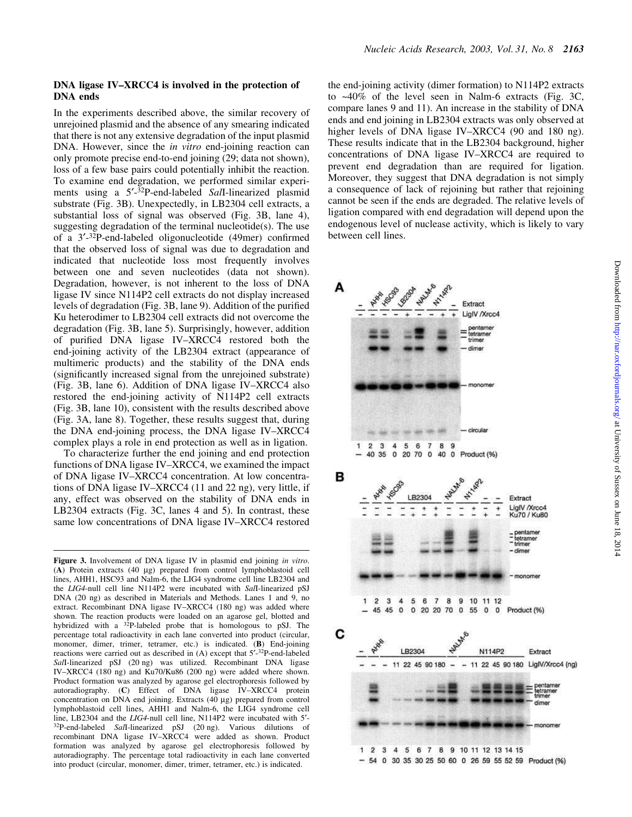#### DNA ligase IV-XRCC4 is involved in the protection of DNA ends

In the experiments described above, the similar recovery of unrejoined plasmid and the absence of any smearing indicated that there is not any extensive degradation of the input plasmid DNA. However, since the *in vitro* end-joining reaction can only promote precise end-to-end joining (29; data not shown), loss of a few base pairs could potentially inhibit the reaction. To examine end degradation, we performed similar experiments using a 5'-<sup>32</sup>P-end-labeled Sall-linearized plasmid substrate (Fig. 3B). Unexpectedly, in LB2304 cell extracts, a substantial loss of signal was observed (Fig. 3B, lane 4), suggesting degradation of the terminal nucleotide(s). The use of a 3'-32P-end-labeled oligonucleotide (49mer) confirmed that the observed loss of signal was due to degradation and indicated that nucleotide loss most frequently involves between one and seven nucleotides (data not shown). Degradation, however, is not inherent to the loss of DNA ligase IV since N114P2 cell extracts do not display increased levels of degradation (Fig. 3B, lane 9). Addition of the purified Ku heterodimer to LB2304 cell extracts did not overcome the degradation (Fig. 3B, lane 5). Surprisingly, however, addition of purified DNA ligase IV-XRCC4 restored both the end-joining activity of the LB2304 extract (appearance of multimeric products) and the stability of the DNA ends (significantly increased signal from the unrejoined substrate) (Fig. 3B, lane 6). Addition of DNA ligase  $IV-XRCC4$  also restored the end-joining activity of N114P2 cell extracts (Fig. 3B, lane 10), consistent with the results described above (Fig. 3A, lane 8). Together, these results suggest that, during the DNA end-joining process, the DNA ligase IV-XRCC4 complex plays a role in end protection as well as in ligation.

To characterize further the end joining and end protection functions of DNA ligase IV-XRCC4, we examined the impact of DNA ligase IV-XRCC4 concentration. At low concentrations of DNA ligase IV-XRCC4 (11 and 22 ng), very little, if any, effect was observed on the stability of DNA ends in LB2304 extracts (Fig. 3C, lanes 4 and 5). In contrast, these same low concentrations of DNA ligase IV-XRCC4 restored

the end-joining activity (dimer formation) to N114P2 extracts to ~40% of the level seen in Nalm-6 extracts (Fig. 3C, compare lanes 9 and 11). An increase in the stability of DNA ends and end joining in LB2304 extracts was only observed at higher levels of DNA ligase IV-XRCC4 (90 and 180 ng). These results indicate that in the LB2304 background, higher concentrations of DNA ligase IV-XRCC4 are required to prevent end degradation than are required for ligation. Moreover, they suggest that DNA degradation is not simply a consequence of lack of rejoining but rather that rejoining cannot be seen if the ends are degraded. The relative levels of ligation compared with end degradation will depend upon the endogenous level of nuclease activity, which is likely to vary between cell lines.



Figure 3. Involvement of DNA ligase IV in plasmid end joining in vitro. (A) Protein extracts (40 mg) prepared from control lymphoblastoid cell lines, AHH1, HSC93 and Nalm-6, the LIG4 syndrome cell line LB2304 and the LIG4-null cell line N114P2 were incubated with SalI-linearized pSJ DNA (20 ng) as described in Materials and Methods. Lanes 1 and 9, no extract. Recombinant DNA ligase IV-XRCC4 (180 ng) was added where shown. The reaction products were loaded on an agarose gel, blotted and hybridized with a <sup>32</sup>P-labeled probe that is homologous to pSJ. The percentage total radioactivity in each lane converted into product (circular, monomer, dimer, trimer, tetramer, etc.) is indicated. (B) End-joining reactions were carried out as described in (A) except that 5'-32P-end-labeled SalI-linearized pSJ (20 ng) was utilized. Recombinant DNA ligase IV-XRCC4 (180 ng) and Ku70/Ku86 (200 ng) were added where shown. Product formation was analyzed by agarose gel electrophoresis followed by autoradiography. (C) Effect of DNA ligase IV-XRCC4 protein concentration on DNA end joining. Extracts  $(40 \mu g)$  prepared from control lymphoblastoid cell lines, AHH1 and Nalm-6, the LIG4 syndrome cell line, LB2304 and the LIG4-null cell line, N114P2 were incubated with 5'-<sup>32</sup>P-end-labeled SalI-linearized pSJ (20 ng). Various dilutions of recombinant DNA ligase IV-XRCC4 were added as shown. Product formation was analyzed by agarose gel electrophoresis followed by autoradiography. The percentage total radioactivity in each lane converted into product (circular, monomer, dimer, trimer, tetramer, etc.) is indicated.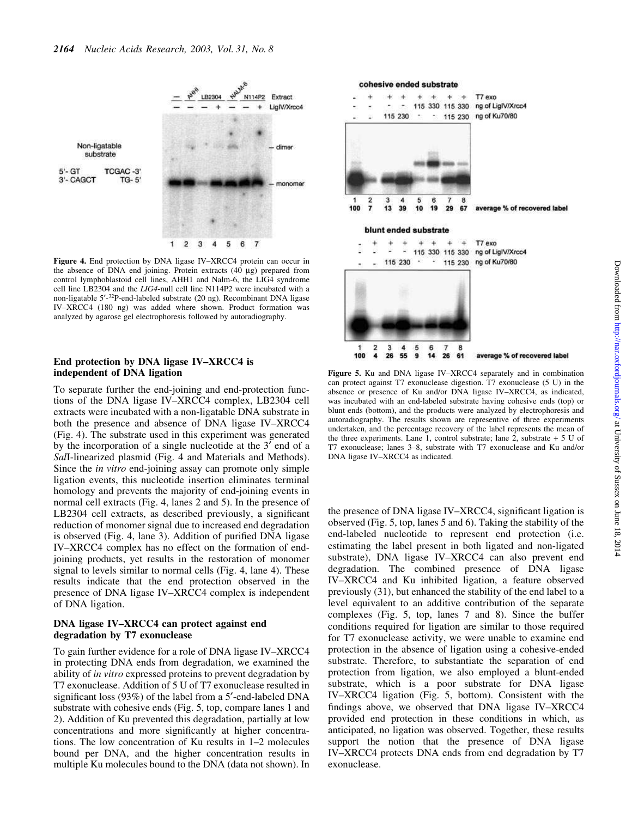

Figure 4. End protection by DNA ligase IV-XRCC4 protein can occur in the absence of DNA end joining. Protein extracts (40 µg) prepared from control lymphoblastoid cell lines, AHH1 and Nalm-6, the LIG4 syndrome cell line LB2304 and the LIG4-null cell line N114P2 were incubated with a non-ligatable 5'-<sup>32</sup>P-end-labeled substrate (20 ng). Recombinant DNA ligase IV-XRCC4 (180 ng) was added where shown. Product formation was analyzed by agarose gel electrophoresis followed by autoradiography.

#### End protection by DNA ligase IV-XRCC4 is independent of DNA ligation

To separate further the end-joining and end-protection functions of the DNA ligase IV-XRCC4 complex, LB2304 cell extracts were incubated with a non-ligatable DNA substrate in both the presence and absence of DNA ligase IV-XRCC4 (Fig. 4). The substrate used in this experiment was generated by the incorporation of a single nucleotide at the 3<sup>'</sup> end of a SalI-linearized plasmid (Fig. 4 and Materials and Methods). Since the *in vitro* end-joining assay can promote only simple ligation events, this nucleotide insertion eliminates terminal homology and prevents the majority of end-joining events in normal cell extracts (Fig. 4, lanes 2 and 5). In the presence of LB2304 cell extracts, as described previously, a significant reduction of monomer signal due to increased end degradation is observed (Fig. 4, lane 3). Addition of purified DNA ligase IV-XRCC4 complex has no effect on the formation of endjoining products, yet results in the restoration of monomer signal to levels similar to normal cells (Fig. 4, lane 4). These results indicate that the end protection observed in the presence of DNA ligase IV-XRCC4 complex is independent of DNA ligation.

#### DNA ligase IV-XRCC4 can protect against end degradation by T7 exonuclease

To gain further evidence for a role of DNA ligase IV-XRCC4 in protecting DNA ends from degradation, we examined the ability of *in vitro* expressed proteins to prevent degradation by T7 exonuclease. Addition of 5 U of T7 exonuclease resulted in significant loss (93%) of the label from a 5'-end-labeled DNA substrate with cohesive ends (Fig. 5, top, compare lanes 1 and 2). Addition of Ku prevented this degradation, partially at low concentrations and more significantly at higher concentrations. The low concentration of Ku results in  $1-2$  molecules bound per DNA, and the higher concentration results in multiple Ku molecules bound to the DNA (data not shown). In



Figure 5. Ku and DNA ligase IV-XRCC4 separately and in combination can protect against T7 exonuclease digestion. T7 exonuclease (5 U) in the absence or presence of Ku and/or DNA ligase IV-XRCC4, as indicated, was incubated with an end-labeled substrate having cohesive ends (top) or blunt ends (bottom), and the products were analyzed by electrophoresis and autoradiography. The results shown are representive of three experiments undertaken, and the percentage recovery of the label represents the mean of the three experiments. Lane 1, control substrate; lane 2, substrate  $+5$  U of T7 exonuclease; lanes 3-8, substrate with T7 exonuclease and Ku and/or DNA ligase IV-XRCC4 as indicated.

the presence of DNA ligase IV-XRCC4, significant ligation is observed (Fig. 5, top, lanes 5 and 6). Taking the stability of the end-labeled nucleotide to represent end protection (i.e. estimating the label present in both ligated and non-ligated substrate), DNA ligase IV-XRCC4 can also prevent end degradation. The combined presence of DNA ligase IV-XRCC4 and Ku inhibited ligation, a feature observed previously (31), but enhanced the stability of the end label to a level equivalent to an additive contribution of the separate complexes (Fig. 5, top, lanes 7 and 8). Since the buffer conditions required for ligation are similar to those required for T7 exonuclease activity, we were unable to examine end protection in the absence of ligation using a cohesive-ended substrate. Therefore, to substantiate the separation of end protection from ligation, we also employed a blunt-ended substrate, which is a poor substrate for DNA ligase IV-XRCC4 ligation (Fig. 5, bottom). Consistent with the findings above, we observed that DNA ligase IV-XRCC4 provided end protection in these conditions in which, as anticipated, no ligation was observed. Together, these results support the notion that the presence of DNA ligase IV-XRCC4 protects DNA ends from end degradation by T7 exonuclease.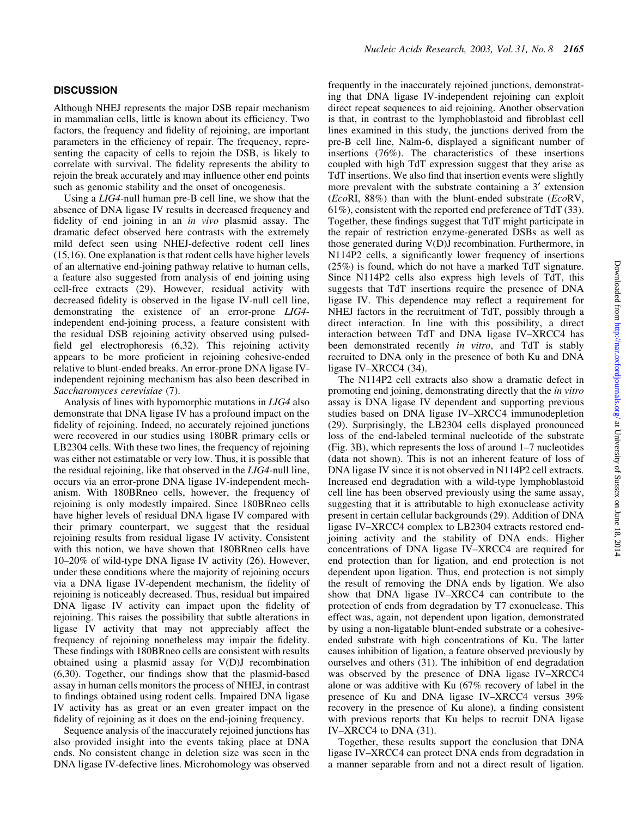#### **DISCUSSION**

Although NHEJ represents the major DSB repair mechanism in mammalian cells, little is known about its efficiency. Two factors, the frequency and fidelity of rejoining, are important parameters in the efficiency of repair. The frequency, representing the capacity of cells to rejoin the DSB, is likely to correlate with survival. The fidelity represents the ability to rejoin the break accurately and may influence other end points such as genomic stability and the onset of oncogenesis.

Using a LIG4-null human pre-B cell line, we show that the absence of DNA ligase IV results in decreased frequency and fidelity of end joining in an in vivo plasmid assay. The dramatic defect observed here contrasts with the extremely mild defect seen using NHEJ-defective rodent cell lines (15,16). One explanation is that rodent cells have higher levels of an alternative end-joining pathway relative to human cells, a feature also suggested from analysis of end joining using cell-free extracts (29). However, residual activity with decreased fidelity is observed in the ligase IV-null cell line, demonstrating the existence of an error-prone LIG4 independent end-joining process, a feature consistent with the residual DSB rejoining activity observed using pulsed field gel electrophoresis (6,32). This rejoining activity appears to be more proficient in rejoining cohesive-ended relative to blunt-ended breaks. An error-prone DNA ligase IVindependent rejoining mechanism has also been described in Saccharomyces cerevisiae (7).

Analysis of lines with hypomorphic mutations in LIG4 also demonstrate that DNA ligase IV has a profound impact on the fidelity of rejoining. Indeed, no accurately rejoined junctions were recovered in our studies using 180BR primary cells or LB2304 cells. With these two lines, the frequency of rejoining was either not estimatable or very low. Thus, it is possible that the residual rejoining, like that observed in the LIG4-null line, occurs via an error-prone DNA ligase IV-independent mechanism. With 180BRneo cells, however, the frequency of rejoining is only modestly impaired. Since 180BRneo cells have higher levels of residual DNA ligase IV compared with their primary counterpart, we suggest that the residual rejoining results from residual ligase IV activity. Consistent with this notion, we have shown that 180BRneo cells have  $10-20\%$  of wild-type DNA ligase IV activity (26). However, under these conditions where the majority of rejoining occurs via a DNA ligase IV-dependent mechanism, the fidelity of rejoining is noticeably decreased. Thus, residual but impaired DNA ligase IV activity can impact upon the fidelity of rejoining. This raises the possibility that subtle alterations in ligase IV activity that may not appreciably affect the frequency of rejoining nonetheless may impair the fidelity. These findings with 180BRneo cells are consistent with results obtained using a plasmid assay for V(D)J recombination  $(6,30)$ . Together, our findings show that the plasmid-based assay in human cells monitors the process of NHEJ, in contrast to findings obtained using rodent cells. Impaired DNA ligase IV activity has as great or an even greater impact on the fidelity of rejoining as it does on the end-joining frequency.

Sequence analysis of the inaccurately rejoined junctions has also provided insight into the events taking place at DNA ends. No consistent change in deletion size was seen in the DNA ligase IV-defective lines. Microhomology was observed frequently in the inaccurately rejoined junctions, demonstrating that DNA ligase IV-independent rejoining can exploit direct repeat sequences to aid rejoining. Another observation is that, in contrast to the lymphoblastoid and fibroblast cell lines examined in this study, the junctions derived from the pre-B cell line, Nalm-6, displayed a significant number of insertions (76%). The characteristics of these insertions coupled with high TdT expression suggest that they arise as TdT insertions. We also find that insertion events were slightly more prevalent with the substrate containing a 3' extension (EcoRI,  $88\%$ ) than with the blunt-ended substrate (EcoRV, 61%), consistent with the reported end preference of TdT (33). Together, these findings suggest that TdT might participate in the repair of restriction enzyme-generated DSBs as well as those generated during V(D)J recombination. Furthermore, in N114P2 cells, a significantly lower frequency of insertions (25%) is found, which do not have a marked TdT signature. Since N114P2 cells also express high levels of TdT, this suggests that TdT insertions require the presence of DNA ligase IV. This dependence may reflect a requirement for NHEJ factors in the recruitment of TdT, possibly through a direct interaction. In line with this possibility, a direct interaction between TdT and DNA ligase IV-XRCC4 has been demonstrated recently in vitro, and TdT is stably recruited to DNA only in the presence of both Ku and DNA ligase IV-XRCC4 (34).

The N114P2 cell extracts also show a dramatic defect in promoting end joining, demonstrating directly that the in vitro assay is DNA ligase IV dependent and supporting previous studies based on DNA ligase IV-XRCC4 immunodepletion (29). Surprisingly, the LB2304 cells displayed pronounced loss of the end-labeled terminal nucleotide of the substrate (Fig. 3B), which represents the loss of around 1-7 nucleotides (data not shown). This is not an inherent feature of loss of DNA ligase IV since it is not observed in N114P2 cell extracts. Increased end degradation with a wild-type lymphoblastoid cell line has been observed previously using the same assay, suggesting that it is attributable to high exonuclease activity present in certain cellular backgrounds (29). Addition of DNA ligase IV-XRCC4 complex to LB2304 extracts restored endjoining activity and the stability of DNA ends. Higher concentrations of DNA ligase IV-XRCC4 are required for end protection than for ligation, and end protection is not dependent upon ligation. Thus, end protection is not simply the result of removing the DNA ends by ligation. We also show that DNA ligase IV-XRCC4 can contribute to the protection of ends from degradation by T7 exonuclease. This effect was, again, not dependent upon ligation, demonstrated by using a non-ligatable blunt-ended substrate or a cohesiveended substrate with high concentrations of Ku. The latter causes inhibition of ligation, a feature observed previously by ourselves and others (31). The inhibition of end degradation was observed by the presence of DNA ligase IV-XRCC4 alone or was additive with Ku (67% recovery of label in the presence of Ku and DNA ligase IV-XRCC4 versus 39% recovery in the presence of Ku alone), a finding consistent with previous reports that Ku helps to recruit DNA ligase IV-XRCC4 to DNA (31).

Together, these results support the conclusion that DNA ligase IV-XRCC4 can protect DNA ends from degradation in a manner separable from and not a direct result of ligation.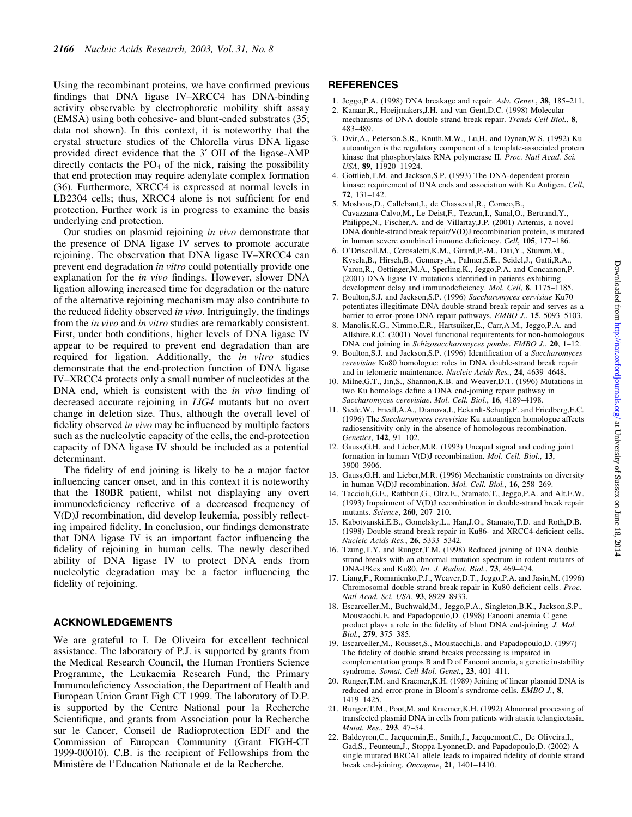Using the recombinant proteins, we have confirmed previous findings that DNA ligase IV-XRCC4 has DNA-binding activity observable by electrophoretic mobility shift assay (EMSA) using both cohesive- and blunt-ended substrates (35; data not shown). In this context, it is noteworthy that the crystal structure studies of the Chlorella virus DNA ligase provided direct evidence that the 3¢ OH of the ligase-AMP directly contacts the  $PO<sub>4</sub>$  of the nick, raising the possibility that end protection may require adenylate complex formation (36). Furthermore, XRCC4 is expressed at normal levels in LB2304 cells; thus, XRCC4 alone is not sufficient for end protection. Further work is in progress to examine the basis underlying end protection.

Our studies on plasmid rejoining in vivo demonstrate that the presence of DNA ligase IV serves to promote accurate rejoining. The observation that DNA ligase IV-XRCC4 can prevent end degradation in vitro could potentially provide one explanation for the *in vivo* findings. However, slower DNA ligation allowing increased time for degradation or the nature of the alternative rejoining mechanism may also contribute to the reduced fidelity observed in vivo. Intriguingly, the findings from the *in vivo* and *in vitro* studies are remarkably consistent. First, under both conditions, higher levels of DNA ligase IV appear to be required to prevent end degradation than are required for ligation. Additionally, the *in vitro* studies demonstrate that the end-protection function of DNA ligase IV-XRCC4 protects only a small number of nucleotides at the DNA end, which is consistent with the  $in$  vivo finding of decreased accurate rejoining in LIG4 mutants but no overt change in deletion size. Thus, although the overall level of fidelity observed in vivo may be influenced by multiple factors such as the nucleolytic capacity of the cells, the end-protection capacity of DNA ligase IV should be included as a potential determinant.

The fidelity of end joining is likely to be a major factor influencing cancer onset, and in this context it is noteworthy that the 180BR patient, whilst not displaying any overt immunodeficiency reflective of a decreased frequency of V(D)J recombination, did develop leukemia, possibly reflecting impaired fidelity. In conclusion, our findings demonstrate that DNA ligase IV is an important factor influencing the fidelity of rejoining in human cells. The newly described ability of DNA ligase IV to protect DNA ends from nucleolytic degradation may be a factor influencing the fidelity of rejoining.

#### ACKNOWLEDGEMENTS

We are grateful to I. De Oliveira for excellent technical assistance. The laboratory of P.J. is supported by grants from the Medical Research Council, the Human Frontiers Science Programme, the Leukaemia Research Fund, the Primary Immunodeficiency Association, the Department of Health and European Union Grant Figh CT 1999. The laboratory of D.P. is supported by the Centre National pour la Recherche Scientifique, and grants from Association pour la Recherche sur le Cancer, Conseil de Radioprotection EDF and the Commission of European Community (Grant FIGH-CT 1999-00010). C.B. is the recipient of Fellowships from the Ministère de l'Education Nationale et de la Recherche.

#### **REFERENCES**

- 1. Jeggo, P.A. (1998) DNA breakage and repair.  $Adv. Genet., 38, 185-211.$
- 2. Kanaar,R., Hoeijmakers,J.H. and van Gent,D.C. (1998) Molecular mechanisms of DNA double strand break repair. Trends Cell Biol., 8, 483±489.
- 3. Dvir,A., Peterson,S.R., Knuth,M.W., Lu,H. and Dynan,W.S. (1992) Ku autoantigen is the regulatory component of a template-associated protein kinase that phosphorylates RNA polymerase II. Proc. Natl Acad. Sci. USA, 89, 11920-11924.
- 4. Gottlieb,T.M. and Jackson,S.P. (1993) The DNA-dependent protein kinase: requirement of DNA ends and association with Ku Antigen. Cell,  $72.131 - 142.$
- 5. Moshous,D., Callebaut,I., de Chasseval,R., Corneo,B., Cavazzana-Calvo,M., Le Deist,F., Tezcan,I., Sanal,O., Bertrand,Y., Philippe,N., Fischer,A. and de Villartay,J.P. (2001) Artemis, a novel DNA double-strand break repair/V(D)J recombination protein, is mutated in human severe combined immune deficiency. Cell, 105, 177-186.
- 6. O'Driscoll,M., Cerosaletti,K.M., Girard,P.-M., Dai,Y., Stumm,M., Kysela,B., Hirsch,B., Gennery,A., Palmer,S.E., Seidel,J., Gatti,R.A., Varon,R., Oettinger,M.A., Sperling,K., Jeggo,P.A. and Concannon,P. (2001) DNA ligase IV mutations identified in patients exhibiting development delay and immunodeficiency. Mol. Cell, 8, 1175-1185.
- 7. Boulton,S.J. and Jackson,S.P. (1996) Saccharomyces cervisiae Ku70 potentiates illegitimate DNA double-strand break repair and serves as a barrier to error-prone DNA repair pathways.  $EMBO$  J., 15, 5093-5103.
- 8. Manolis,K.G., Nimmo,E.R., Hartsuiker,E., Carr,A.M., Jeggo,P.A. and Allshire,R.C. (2001) Novel functional requirements for non-homologous DNA end joining in Schizosaccharomyces pombe. EMBO J., 20, 1-12.
- 9. Boulton, S.J. and Jackson, S.P. (1996) Identification of a Saccharomyces cerevisiae Ku80 homologue: roles in DNA double-strand break repair and in telomeric maintenance. Nucleic Acids Res., 24, 4639-4648.
- 10. Milne,G.T., Jin,S., Shannon,K.B. and Weaver,D.T. (1996) Mutations in two Ku homologs define a DNA end-joining repair pathway in Saccharomyces cerevisiae. Mol. Cell. Biol., 16, 4189-4198.
- 11. Siede,W., Friedl,A.A., Dianova,I., Eckardt-Schupp,F. and Friedberg,E.C. (1996) The Saccharomyces cerevisiae Ku autoantigen homologue affects radiosensitivity only in the absence of homologous recombination. Genetics, 142, 91-102.
- 12. Gauss,G.H. and Lieber,M.R. (1993) Unequal signal and coding joint formation in human V(D)J recombination. *Mol. Cell. Biol.*, 13, 3900±3906.
- 13. Gauss,G.H. and Lieber,M.R. (1996) Mechanistic constraints on diversity in human V(D)J recombination. Mol. Cell. Biol., 16, 258-269.
- 14. Taccioli,G.E., Rathbun,G., Oltz,E., Stamato,T., Jeggo,P.A. and Alt,F.W. (1993) Impairment of V(D)J recombination in double-strand break repair mutants. Science, 260, 207-210.
- 15. Kabotyanski,E.B., Gomelsky,L., Han,J.O., Stamato,T.D. and Roth,D.B.  $(1998)$  Double-strand break repair in Ku86- and XRCC4-deficient cells. Nucleic Acids Res., **26**, 5333–5342.
- 16. Tzung,T.Y. and Runger,T.M. (1998) Reduced joining of DNA double strand breaks with an abnormal mutation spectrum in rodent mutants of DNA-PKcs and Ku80. Int. J. Radiat. Biol., 73, 469-474.
- 17. Liang,F., Romanienko,P.J., Weaver,D.T., Jeggo,P.A. and Jasin,M. (1996) Chromosomal double-strand break repair in Ku80-deficient cells. Proc. Natl Acad. Sci. USA, 93, 8929-8933.
- 18. Escarceller,M., Buchwald,M., Jeggo,P.A., Singleton,B.K., Jackson,S.P., Moustacchi,E. and Papadopoulo,D. (1998) Fanconi anemia C gene product plays a role in the fidelity of blunt DNA end-joining. J. Mol. Biol., 279, 375-385.
- 19. Escarceller,M., Rousset,S., Moustacchi,E. and Papadopoulo,D. (1997) The fidelity of double strand breaks processing is impaired in complementation groups B and D of Fanconi anemia, a genetic instability syndrome. Somat. Cell Mol. Genet., 23, 401-411.
- 20. Runger,T.M. and Kraemer,K.H. (1989) Joining of linear plasmid DNA is reduced and error-prone in Bloom's syndrome cells. EMBO J., 8, 1419±1425.
- 21. Runger,T.M., Poot,M. and Kraemer,K.H. (1992) Abnormal processing of transfected plasmid DNA in cells from patients with ataxia telangiectasia. Mutat. Res., 293, 47-54.
- 22. Baldeyron,C., Jacquemin,E., Smith,J., Jacquemont,C., De Oliveira,I., Gad,S., Feunteun,J., Stoppa-Lyonnet,D. and Papadopoulo,D. (2002) A single mutated BRCA1 allele leads to impaired fidelity of double strand break end-joining. Oncogene, 21, 1401-1410.